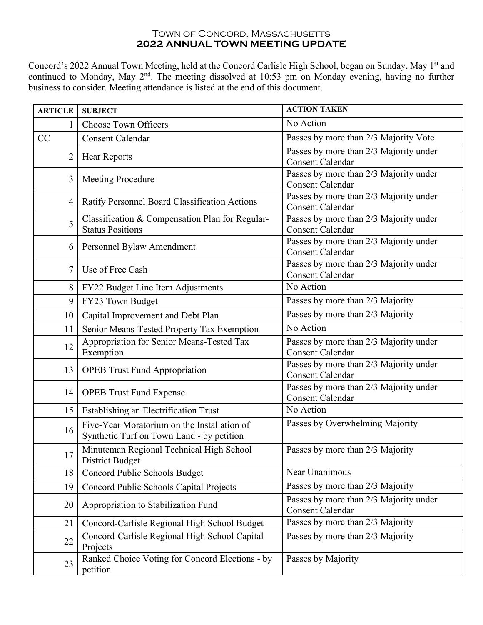## TOWN OF CONCORD, MASSACHUSETTS **2022 ANNUAL TOWN MEETING UPDATE**

Concord's 2022 Annual Town Meeting, held at the Concord Carlisle High School, began on Sunday, May 1st and continued to Monday, May 2<sup>nd</sup>. The meeting dissolved at 10:53 pm on Monday evening, having no further business to consider. Meeting attendance is listed at the end of this document.

| <b>ARTICLE</b> | <b>SUBJECT</b>                                                                           | <b>ACTION TAKEN</b>                                               |
|----------------|------------------------------------------------------------------------------------------|-------------------------------------------------------------------|
| 1              | <b>Choose Town Officers</b>                                                              | No Action                                                         |
| CC             | <b>Consent Calendar</b>                                                                  | Passes by more than 2/3 Majority Vote                             |
| $\overline{2}$ | <b>Hear Reports</b>                                                                      | Passes by more than 2/3 Majority under<br><b>Consent Calendar</b> |
| 3              | Meeting Procedure                                                                        | Passes by more than 2/3 Majority under<br><b>Consent Calendar</b> |
| 4              | Ratify Personnel Board Classification Actions                                            | Passes by more than 2/3 Majority under<br><b>Consent Calendar</b> |
| 5              | Classification & Compensation Plan for Regular-<br><b>Status Positions</b>               | Passes by more than 2/3 Majority under<br><b>Consent Calendar</b> |
| 6              | Personnel Bylaw Amendment                                                                | Passes by more than 2/3 Majority under<br><b>Consent Calendar</b> |
| 7              | Use of Free Cash                                                                         | Passes by more than 2/3 Majority under<br><b>Consent Calendar</b> |
| 8              | FY22 Budget Line Item Adjustments                                                        | No Action                                                         |
| 9              | FY23 Town Budget                                                                         | Passes by more than 2/3 Majority                                  |
| 10             | Capital Improvement and Debt Plan                                                        | Passes by more than 2/3 Majority                                  |
| 11             | Senior Means-Tested Property Tax Exemption                                               | No Action                                                         |
| 12             | Appropriation for Senior Means-Tested Tax<br>Exemption                                   | Passes by more than 2/3 Majority under<br><b>Consent Calendar</b> |
| 13             | <b>OPEB</b> Trust Fund Appropriation                                                     | Passes by more than 2/3 Majority under<br><b>Consent Calendar</b> |
| 14             | <b>OPEB Trust Fund Expense</b>                                                           | Passes by more than 2/3 Majority under<br><b>Consent Calendar</b> |
| 15             | Establishing an Electrification Trust                                                    | No Action                                                         |
| 16             | Five-Year Moratorium on the Installation of<br>Synthetic Turf on Town Land - by petition | Passes by Overwhelming Majority                                   |
| 17             | Minuteman Regional Technical High School<br><b>District Budget</b>                       | Passes by more than 2/3 Majority                                  |
| 18             | Concord Public Schools Budget                                                            | Near Unanimous                                                    |
| 19             | Concord Public Schools Capital Projects                                                  | Passes by more than 2/3 Majority                                  |
| 20             | Appropriation to Stabilization Fund                                                      | Passes by more than 2/3 Majority under<br><b>Consent Calendar</b> |
| 21             | Concord-Carlisle Regional High School Budget                                             | Passes by more than 2/3 Majority                                  |
| 22             | Concord-Carlisle Regional High School Capital<br>Projects                                | Passes by more than 2/3 Majority                                  |
| 23             | Ranked Choice Voting for Concord Elections - by<br>petition                              | Passes by Majority                                                |